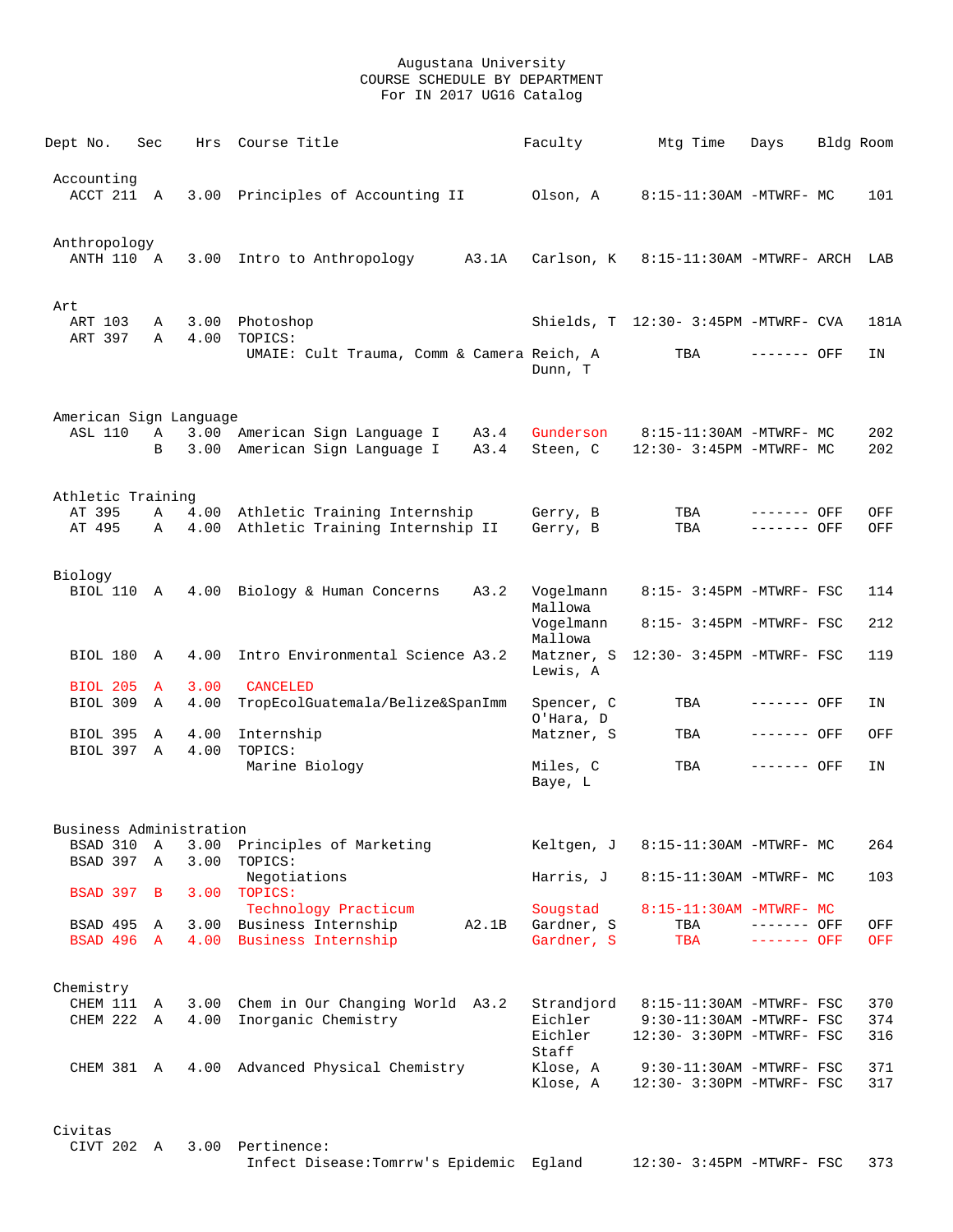| Dept No.                   | Sec          |              | Hrs Course Title                                                            | Faculty                  | Mtg Time                                              | Days                       | Bldg Room         |
|----------------------------|--------------|--------------|-----------------------------------------------------------------------------|--------------------------|-------------------------------------------------------|----------------------------|-------------------|
| Accounting<br>ACCT 211 A   |              |              | 3.00 Principles of Accounting II                                            | Olson, A                 | 8:15-11:30AM -MTWRF- MC                               |                            | 101               |
| Anthropology<br>ANTH 110 A |              |              | 3.00 Intro to Anthropology<br>A3.1A                                         |                          | Carlson, K 8:15-11:30AM -MTWRF- ARCH LAB              |                            |                   |
| Art<br>ART 103             | Α            |              | 3.00 Photoshop                                                              |                          | Shields, T 12:30- 3:45PM -MTWRF- CVA                  |                            | 181A              |
| ART 397                    | Α            | 4.00         | TOPICS:<br>UMAIE: Cult Trauma, Comm & Camera Reich, A                       | Dunn, T                  | TBA                                                   | ------- OFF                | ΙN                |
| American Sign Language     |              |              |                                                                             |                          |                                                       |                            |                   |
| <b>ASL 110</b>             | A<br>B       |              | 3.00 American Sign Language I A3.4<br>3.00 American Sign Language I<br>A3.4 | Gunderson<br>Steen, C    | 8:15-11:30AM -MTWRF- MC<br>12:30- 3:45PM -MTWRF- MC   |                            | 202<br>202        |
| Athletic Training          |              |              |                                                                             |                          |                                                       |                            |                   |
| AT 395<br>AT 495           | Α<br>A       |              | 4.00 Athletic Training Internship<br>4.00 Athletic Training Internship II   | Gerry, B<br>Gerry, B     | TBA<br>TBA                                            | ------- OFF<br>------- OFF | OFF<br>OFF        |
| Biology<br>BIOL 110 A      |              |              | 4.00 Biology & Human Concerns<br>A3.2                                       | Vogelmann<br>Mallowa     | 8:15- 3:45PM -MTWRF- FSC                              |                            | 114               |
|                            |              |              |                                                                             | Vogelmann<br>Mallowa     | 8:15- 3:45PM -MTWRF- FSC                              |                            | 212               |
| BIOL 180 A                 |              | 4.00         | Intro Environmental Science A3.2                                            | Lewis, A                 | Matzner, S 12:30- 3:45PM -MTWRF- FSC                  |                            | 119               |
| <b>BIOL 205</b>            | $\mathbf{A}$ | 3.00         | CANCELED                                                                    |                          |                                                       |                            |                   |
| BIOL 309 A                 |              | 4.00         | TropEcolGuatemala/Belize&SpanImm                                            | Spencer, C<br>O'Hara, D  | TBA                                                   | ------- OFF                | ΙN                |
| BIOL 395<br>BIOL 397 A     | A            | 4.00<br>4.00 | Internship<br>TOPICS:                                                       | Matzner, S               | TBA                                                   | ------- OFF                | OFF               |
|                            |              |              | Marine Biology                                                              | Miles, C<br>Baye, L      | TBA                                                   | ------- OFF                | ΙN                |
| Business Administration    |              |              |                                                                             |                          |                                                       |                            |                   |
| BSAD 310                   | A            | 3.00         | Principles of Marketing                                                     | Keltgen, J               | 8:15-11:30AM -MTWRF- MC                               |                            | 264               |
| BSAD 397 A                 |              | 3.00         | TOPICS:<br>Negotiations                                                     | Harris, J                | 8:15-11:30AM -MTWRF- MC                               |                            | 103               |
| BSAD 397 B                 |              |              | 3.00 TOPICS:<br>Technology Practicum                                        | Sougstad                 | $8:15-11:30AM - MTWRF- MC$                            |                            |                   |
| BSAD 495 A<br>BSAD 496 A   |              |              | 3.00 Business Internship<br>A2.1B<br>4.00 Business Internship               | Gardner, S<br>Gardner, S | TBA<br><b>TBA</b>                                     | ------- OFF<br>------- OFF | OFF<br><b>OFF</b> |
| Chemistry                  |              |              |                                                                             |                          |                                                       |                            |                   |
| CHEM 111 A                 |              |              | 3.00 Chem in Our Changing World A3.2                                        | Strandjord               | 8:15-11:30AM -MTWRF- FSC                              |                            | 370               |
| CHEM 222 A                 |              | 4.00         | Inorganic Chemistry                                                         | Eichler<br>Eichler       | 9:30-11:30AM -MTWRF- FSC<br>12:30- 3:30PM -MTWRF- FSC |                            | 374<br>316        |
| CHEM 381 A                 |              |              | 4.00 Advanced Physical Chemistry                                            | Staff<br>Klose, A        | 9:30-11:30AM -MTWRF- FSC                              |                            | 371               |
|                            |              |              |                                                                             | Klose, A                 | 12:30- 3:30PM -MTWRF- FSC                             |                            | 317               |
| Civitas                    |              |              |                                                                             |                          |                                                       |                            |                   |
| CIVT 202 A                 |              |              | 3.00 Pertinence:<br>Infect Disease: Tomrrw's Epidemic Egland                |                          | 12:30- 3:45PM -MTWRF- FSC                             |                            | 373               |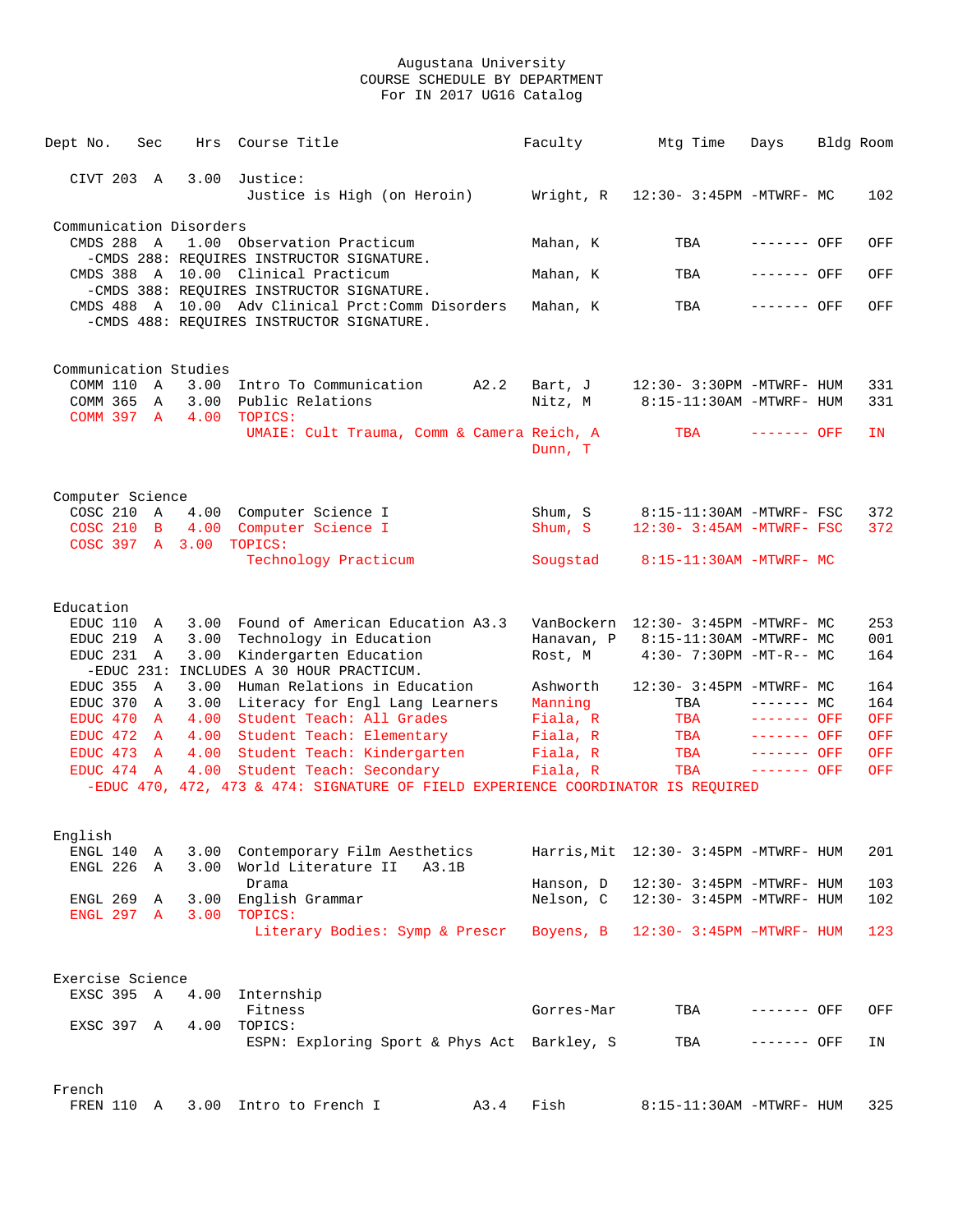| Dept No.                       | Sec                          | Hrs        | Course Title                                                                                    | Faculty              | Mtg Time                              | Days                        | Bldg Room |                   |
|--------------------------------|------------------------------|------------|-------------------------------------------------------------------------------------------------|----------------------|---------------------------------------|-----------------------------|-----------|-------------------|
|                                |                              |            |                                                                                                 |                      |                                       |                             |           |                   |
| CIVT 203 A                     |                              | 3.00       | Justice:                                                                                        |                      |                                       |                             |           |                   |
|                                |                              |            | Justice is High (on Heroin)                                                                     | Wright, R            | 12:30- 3:45PM -MTWRF- MC              |                             |           | 102               |
| Communication Disorders        |                              |            |                                                                                                 |                      |                                       |                             |           |                   |
| CMDS 288 A                     |                              |            | 1.00 Observation Practicum                                                                      | Mahan, K             | TBA                                   | ------- OFF                 |           | OFF               |
|                                |                              |            | -CMDS 288: REQUIRES INSTRUCTOR SIGNATURE.                                                       |                      |                                       |                             |           |                   |
|                                |                              |            | CMDS 388 A 10.00 Clinical Practicum                                                             | Mahan, K             | TBA                                   | ------- OFF                 |           | OFF               |
|                                |                              |            | -CMDS 388: REQUIRES INSTRUCTOR SIGNATURE.<br>CMDS 488 A 10.00 Adv Clinical Prct: Comm Disorders |                      | TBA                                   | ------- OFF                 |           | OFF               |
|                                |                              |            | -CMDS 488: REQUIRES INSTRUCTOR SIGNATURE.                                                       | Mahan, K             |                                       |                             |           |                   |
|                                |                              |            |                                                                                                 |                      |                                       |                             |           |                   |
|                                |                              |            |                                                                                                 |                      |                                       |                             |           |                   |
| Communication Studies          |                              |            |                                                                                                 |                      |                                       |                             |           |                   |
| COMM 110 A                     |                              |            | 3.00 Intro To Communication<br>A2.2                                                             | Bart, J              | 12:30- 3:30PM -MTWRF- HUM             |                             |           | 331               |
| COMM 365 A<br>COMM 397 A       |                              | $4\,.\,00$ | 3.00 Public Relations<br>TOPICS:                                                                | Nitz, M              | 8:15-11:30AM -MTWRF- HUM              |                             |           | 331               |
|                                |                              |            | UMAIE: Cult Trauma, Comm & Camera Reich, A                                                      |                      | TBA                                   | ------- OFF                 |           | IN.               |
|                                |                              |            |                                                                                                 | Dunn, T              |                                       |                             |           |                   |
|                                |                              |            |                                                                                                 |                      |                                       |                             |           |                   |
|                                |                              |            |                                                                                                 |                      |                                       |                             |           |                   |
| Computer Science<br>COSC 210 A |                              |            | 4.00 Computer Science I                                                                         | Shum, S              | 8:15-11:30AM -MTWRF- FSC              |                             |           | 372               |
|                                |                              |            | COSC 210 B 4.00 Computer Science I                                                              | Shum, S              | 12:30- 3:45AM -MTWRF- FSC             |                             |           | 372               |
| COSC 397 A 3.00                |                              |            | TOPICS:                                                                                         |                      |                                       |                             |           |                   |
|                                |                              |            | Technology Practicum                                                                            | Sougstad             | 8:15-11:30AM -MTWRF- MC               |                             |           |                   |
|                                |                              |            |                                                                                                 |                      |                                       |                             |           |                   |
| Education                      |                              |            |                                                                                                 |                      |                                       |                             |           |                   |
| EDUC 110                       | A                            |            | 3.00 Found of American Education A3.3                                                           |                      | VanBockern 12:30- 3:45PM -MTWRF- MC   |                             |           | 253               |
| EDUC 219                       | A                            | 3.00       | Technology in Education                                                                         | Hanavan, P           | 8:15-11:30AM -MTWRF- MC               |                             |           | 001               |
| EDUC 231 A                     |                              | 3.00       | Kindergarten Education                                                                          | Rost, M              | 4:30- 7:30PM -MT-R-- MC               |                             |           | 164               |
|                                |                              |            | -EDUC 231: INCLUDES A 30 HOUR PRACTICUM.                                                        |                      |                                       |                             |           |                   |
| EDUC 355                       | A                            | 3.00       | Human Relations in Education                                                                    | Ashworth             | 12:30- 3:45PM -MTWRF- MC              |                             |           | 164               |
| EDUC 370 A                     |                              |            | 3.00 Literacy for Engl Lang Learners                                                            | Manning              | TBA                                   | $------MC$                  |           | 164               |
| EDUC 470<br>EDUC 472           | $\mathbb{A}$                 | 4.00       | Student Teach: All Grades                                                                       | Fiala, R             | TBA                                   | ------- OFF<br>$------$ OFF |           | <b>OFF</b><br>OFF |
| EDUC 473                       | $\mathbf{A}$<br>$\mathbf{A}$ |            | 4.00 Student Teach: Elementary<br>4.00 Student Teach: Kindergarten                              | Fiala, R<br>Fiala, R | TBA<br>TBA                            | $-----$ OFF                 |           | <b>OFF</b>        |
| EDUC 474 A                     |                              |            | 4.00 Student Teach: Secondary                                                                   | Fiala, R             | TBA                                   | $------$ OFF                |           | OFF               |
|                                |                              |            | -EDUC 470, 472, 473 & 474: SIGNATURE OF FIELD EXPERIENCE COORDINATOR IS REQUIRED                |                      |                                       |                             |           |                   |
|                                |                              |            |                                                                                                 |                      |                                       |                             |           |                   |
|                                |                              |            |                                                                                                 |                      |                                       |                             |           |                   |
| English                        |                              |            |                                                                                                 |                      |                                       |                             |           |                   |
| ENGL 140                       | A                            | 3.00       | Contemporary Film Aesthetics                                                                    |                      | Harris, Mit 12:30- 3:45PM -MTWRF- HUM |                             |           | 201               |
| ENGL 226                       | A                            | 3.00       | World Literature II<br>A3.1B<br>Drama                                                           | Hanson, D            | 12:30- 3:45PM -MTWRF- HUM             |                             |           | 103               |
| ENGL 269                       | A                            | 3.00       | English Grammar                                                                                 | Nelson, C            | 12:30- 3:45PM -MTWRF- HUM             |                             |           | 102               |
| ENGL 297 A                     |                              | 3.00       | TOPICS:                                                                                         |                      |                                       |                             |           |                   |
|                                |                              |            | Literary Bodies: Symp & Prescr                                                                  | Boyens, B            | $12:30 - 3:45PM - MTWRF - HUM$        |                             |           | 123               |
|                                |                              |            |                                                                                                 |                      |                                       |                             |           |                   |
| Exercise Science               |                              |            |                                                                                                 |                      |                                       |                             |           |                   |
| EXSC 395 A                     |                              | 4.00       | Internship                                                                                      |                      |                                       |                             |           |                   |
|                                |                              |            | Fitness                                                                                         | Gorres-Mar           | TBA                                   | ------- OFF                 |           | OFF               |
| EXSC 397 A                     |                              | 4.00       | TOPICS:                                                                                         |                      |                                       |                             |           |                   |
|                                |                              |            | ESPN: Exploring Sport & Phys Act Barkley, S                                                     |                      | TBA                                   | ------- OFF                 |           | ΙN                |
|                                |                              |            |                                                                                                 |                      |                                       |                             |           |                   |
| French                         |                              |            |                                                                                                 |                      |                                       |                             |           |                   |
| FREN 110 A                     |                              |            | 3.00 Intro to French I<br>A3.4                                                                  | Fish                 | 8:15-11:30AM -MTWRF- HUM              |                             |           | 325               |
|                                |                              |            |                                                                                                 |                      |                                       |                             |           |                   |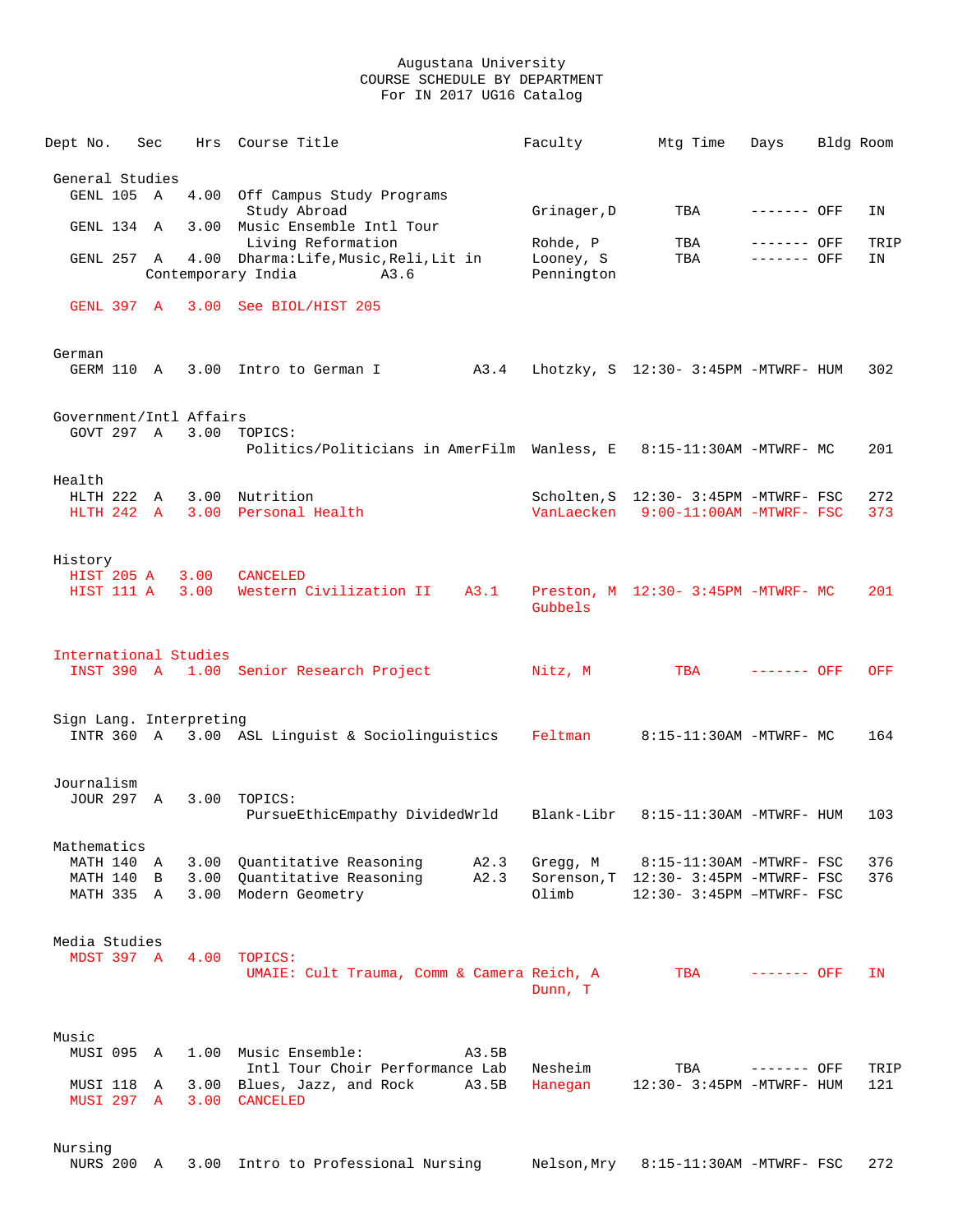| Dept No.                                            | Sec |              | Hrs Course Title                                                                                   | Faculty                             | Mtg Time                                                                                       | Days         | Bldg Room   |
|-----------------------------------------------------|-----|--------------|----------------------------------------------------------------------------------------------------|-------------------------------------|------------------------------------------------------------------------------------------------|--------------|-------------|
| General Studies                                     |     |              |                                                                                                    |                                     |                                                                                                |              |             |
| GENL 105 A                                          |     |              | 4.00 Off Campus Study Programs<br>Study Abroad                                                     | Grinager, D                         | TBA                                                                                            | ------- OFF  | IN          |
| GENL 134 A                                          |     |              | 3.00 Music Ensemble Intl Tour<br>Living Reformation                                                |                                     | TBA                                                                                            | ------- OFF  |             |
| GENL 257 A                                          |     |              | 4.00 Dharma: Life, Music, Reli, Lit in<br>Contemporary India<br>A3.6                               | Rohde, P<br>Looney, S<br>Pennington | TBA                                                                                            | ------- OFF  | TRIP<br>IN  |
|                                                     |     |              | GENL 397 A 3.00 See BIOL/HIST 205                                                                  |                                     |                                                                                                |              |             |
| German<br>GERM 110 A                                |     |              | 3.00 Intro to German I<br>A3.4                                                                     |                                     | Lhotzky, S 12:30- 3:45PM -MTWRF- HUM                                                           |              | 302         |
| Government/Intl Affairs<br>GOVT 297 A               |     |              | 3.00 TOPICS:<br>Politics/Politicians in AmerFilm Wanless, E                                        |                                     | 8:15-11:30AM -MTWRF- MC                                                                        |              | 201         |
| Health                                              |     |              | HLTH 222 A 3.00 Nutrition<br>HLTH 242 A 3.00 Personal Health                                       |                                     | Scholten, S 12:30- 3:45PM -MTWRF- FSC<br>VanLaecken 9:00-11:00AM -MTWRF- FSC                   |              | 272<br>373  |
| History<br>HIST 205 A<br>HIST 111 A                 |     | 3.00<br>3.00 | <b>CANCELED</b><br>Western Civilization II<br>A3.1                                                 | Gubbels                             | Preston, M 12:30- 3:45PM -MTWRF- MC                                                            |              | 201         |
| International Studies                               |     |              | INST 390 A 1.00 Senior Research Project                                                            | Nitz, M                             | TBA                                                                                            | $------$ OFF | OFF         |
| Sign Lang. Interpreting<br>INTR 360 A               |     |              | 3.00 ASL Linguist & Sociolinguistics                                                               | Feltman                             | 8:15-11:30AM -MTWRF- MC                                                                        |              | 164         |
| Journalism<br>JOUR 297 A                            |     |              | 3.00 TOPICS:<br>PursueEthicEmpathy DividedWrld                                                     | Blank-Libr                          | 8:15-11:30AM -MTWRF- HUM                                                                       |              | 103         |
| Mathematics<br>MATH 140 A<br>MATH 140<br>MATH 335 A | B   |              | 3.00 Quantitative Reasoning<br>A2.3<br>3.00 Quantitative Reasoning<br>A2.3<br>3.00 Modern Geometry | Gregg, M<br>Olimb                   | 8:15-11:30AM -MTWRF- FSC<br>Sorenson, T 12:30- 3:45PM -MTWRF- FSC<br>12:30- 3:45PM -MTWRF- FSC |              | 376<br>376  |
| Media Studies<br>MDST 397 A                         |     |              | 4.00 TOPICS:<br>UMAIE: Cult Trauma, Comm & Camera Reich, A                                         | Dunn, T                             | TBA                                                                                            | ------- OFF  | IN          |
| Music<br>MUSI 095 A                                 |     |              | 1.00 Music Ensemble:<br>A3.5B                                                                      |                                     |                                                                                                |              |             |
| MUSI 118<br><b>MUSI 297 A</b>                       | A   |              | Intl Tour Choir Performance Lab<br>3.00 Blues, Jazz, and Rock<br>A3.5B<br>3.00 CANCELED            | Nesheim<br>Hanegan                  | TBA<br>12:30- 3:45PM -MTWRF- HUM                                                               | ------- OFF  | TRIP<br>121 |
| Nursing<br>NURS 200 A                               |     |              | 3.00 Intro to Professional Nursing                                                                 | Nelson,Mry                          | 8:15-11:30AM -MTWRF- FSC                                                                       |              | 272         |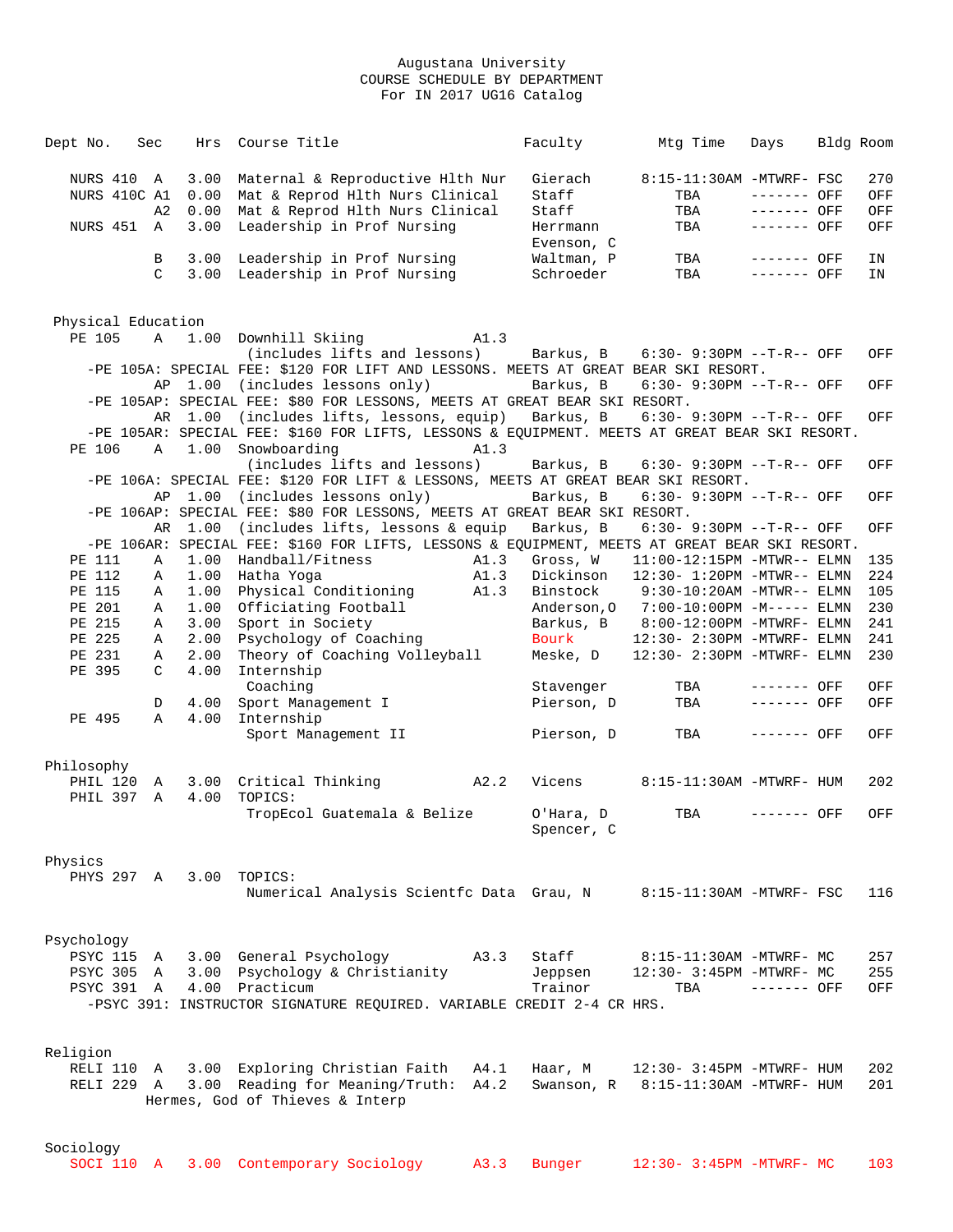| Dept No.           | Sec           | Hrs  | Course Title                                                                                  |      | Faculty    | Mtg Time                                                                 | Days         | Bldg Room |     |
|--------------------|---------------|------|-----------------------------------------------------------------------------------------------|------|------------|--------------------------------------------------------------------------|--------------|-----------|-----|
| NURS 410 A         |               | 3.00 | Maternal & Reproductive Hlth Nur                                                              |      | Gierach    | 8:15-11:30AM -MTWRF- FSC                                                 |              |           | 270 |
| NURS 410C A1       |               | 0.00 | Mat & Reprod Hlth Nurs Clinical                                                               |      | Staff      | TBA                                                                      | $------$ OFF |           | OFF |
|                    | A2            |      | 0.00 Mat & Reprod Hlth Nurs Clinical                                                          |      | Staff      | TBA                                                                      | $------$ OFF |           | OFF |
| NURS 451 A         |               | 3.00 | Leadership in Prof Nursing                                                                    |      | Herrmann   | TBA                                                                      | $------$ OFF |           | OFF |
|                    |               |      |                                                                                               |      | Evenson, C |                                                                          |              |           |     |
|                    |               |      |                                                                                               |      | Waltman, P |                                                                          | $------$ OFF |           |     |
|                    | B             |      | 3.00 Leadership in Prof Nursing                                                               |      |            | TBA                                                                      | $-----$ OFF  |           | ΙN  |
|                    | $\mathcal{C}$ |      | 3.00 Leadership in Prof Nursing                                                               |      | Schroeder  | TBA                                                                      |              |           | IN  |
|                    |               |      |                                                                                               |      |            |                                                                          |              |           |     |
|                    |               |      |                                                                                               |      |            |                                                                          |              |           |     |
| Physical Education |               |      |                                                                                               |      |            |                                                                          |              |           |     |
| PE 105             |               |      | A 1.00 Downhill Skiing                                                                        | A1.3 |            |                                                                          |              |           |     |
|                    |               |      | (includes lifts and lessons)                                                                  |      |            | Barkus, B 6:30-9:30PM --T-R-- OFF                                        |              |           | OFF |
|                    |               |      | -PE 105A: SPECIAL FEE: \$120 FOR LIFT AND LESSONS. MEETS AT GREAT BEAR SKI RESORT.            |      |            |                                                                          |              |           |     |
|                    |               |      | AP 1.00 (includes lessons only)                                                               |      | Barkus, B  | $6:30 - 9:30PM -T-R--OFF$                                                |              |           | OFF |
|                    |               |      | -PE 105AP: SPECIAL FEE: \$80 FOR LESSONS, MEETS AT GREAT BEAR SKI RESORT.                     |      |            |                                                                          |              |           |     |
|                    |               |      | AR 1.00 (includes lifts, lessons, equip) Barkus, B                                            |      |            | 6:30- 9:30PM --T-R-- OFF                                                 |              |           | OFF |
|                    |               |      | -PE 105AR: SPECIAL FEE: \$160 FOR LIFTS, LESSONS & EQUIPMENT. MEETS AT GREAT BEAR SKI RESORT. |      |            |                                                                          |              |           |     |
| PE 106             | A             |      | 1.00 Snowboarding                                                                             | A1.3 |            |                                                                          |              |           |     |
|                    |               |      | (includes lifts and lessons)                                                                  |      | Barkus, B  | $6:30 - 9:30PM -T-R--OFF$                                                |              |           | OFF |
|                    |               |      | -PE 106A: SPECIAL FEE: \$120 FOR LIFT & LESSONS, MEETS AT GREAT BEAR SKI RESORT.              |      |            |                                                                          |              |           |     |
|                    |               |      | AP 1.00 (includes lessons only)                                                               |      | Barkus, B  | $6:30 - 9:30PM -T-R -$ OFF                                               |              |           | OFF |
|                    |               |      | -PE 106AP: SPECIAL FEE: \$80 FOR LESSONS, MEETS AT GREAT BEAR SKI RESORT.                     |      |            |                                                                          |              |           |     |
|                    |               |      | AR 1.00 (includes lifts, lessons & equip                                                      |      | Barkus, B  | $6:30-9:30PM --T-R--OFF$                                                 |              |           | OFF |
|                    |               |      | -PE 106AR: SPECIAL FEE: \$160 FOR LIFTS, LESSONS & EQUIPMENT, MEETS AT GREAT BEAR SKI RESORT. |      |            |                                                                          |              |           |     |
| PE 111             | Α             |      | 1.00 Handball/Fitness                                                                         | A1.3 | Gross, W   | 11:00-12:15PM -MTWR-- ELMN                                               |              |           | 135 |
| PE 112             | Α             |      | 1.00 Hatha Yoga                                                                               | A1.3 | Dickinson  | 12:30- 1:20PM -MTWR-- ELMN                                               |              |           | 224 |
| PE 115             | Α             |      | 1.00 Physical Conditioning                                                                    | A1.3 | Binstock   | $9:30-10:20AM -MTWR--ELMN$                                               |              |           | 105 |
| PE 201             | Α             |      | 1.00 Officiating Football                                                                     |      |            | Anderson, 0 7:00-10:00PM -M----- ELMN                                    |              |           | 230 |
| PE 215             | Α             | 3.00 | Sport in Society                                                                              |      |            | Barkus, B 8:00-12:00PM -MTWRF- ELMN                                      |              |           | 241 |
| PE 225             | Α             | 2.00 | Psychology of Coaching                                                                        |      | Bourk      | 12:30- 2:30PM -MTWRF- ELMN                                               |              |           | 241 |
| PE 231             | A             | 2.00 | Theory of Coaching Volleyball                                                                 |      | Meske, D   | 12:30- 2:30PM -MTWRF- ELMN                                               |              |           | 230 |
| PE 395             | C             | 4.00 | Internship                                                                                    |      |            |                                                                          |              |           |     |
|                    |               |      | Coaching                                                                                      |      | Stavenger  | TBA                                                                      | ------- OFF  |           | OFF |
|                    | D             | 4.00 | Sport Management I                                                                            |      | Pierson, D | TBA                                                                      | $------$ OFF |           | OFF |
| PE 495             | $\mathbb{A}$  | 4.00 | Internship                                                                                    |      |            |                                                                          |              |           |     |
|                    |               |      | Sport Management II                                                                           |      | Pierson, D | TBA                                                                      | ------- OFF  |           | OFF |
|                    |               |      |                                                                                               |      |            |                                                                          |              |           |     |
| Philosophy         |               |      |                                                                                               |      |            |                                                                          |              |           |     |
| PHIL 120 A         |               |      | 3.00 Critical Thinking<br>A2.2                                                                |      | Vicens     | 8:15-11:30AM -MTWRF- HUM                                                 |              |           | 202 |
| PHIL 397 A         |               |      | 4.00 TOPICS:                                                                                  |      |            |                                                                          |              |           |     |
|                    |               |      | TropEcol Guatemala & Belize                                                                   |      | O'Hara, D  | TBA                                                                      | ------- OFF  |           | OFF |
|                    |               |      |                                                                                               |      | Spencer, C |                                                                          |              |           |     |
|                    |               |      |                                                                                               |      |            |                                                                          |              |           |     |
| Physics            |               |      |                                                                                               |      |            |                                                                          |              |           |     |
|                    |               |      | PHYS 297 A 3.00 TOPICS:                                                                       |      |            |                                                                          |              |           |     |
|                    |               |      | Numerical Analysis Scientfc Data Grau, N 8:15-11:30AM -MTWRF- FSC                             |      |            |                                                                          |              |           | 116 |
|                    |               |      |                                                                                               |      |            |                                                                          |              |           |     |
|                    |               |      |                                                                                               |      |            |                                                                          |              |           |     |
| Psychology         |               |      |                                                                                               |      |            |                                                                          |              |           |     |
|                    |               |      | PSYC 115 A 3.00 General Psychology                                                            | A3.3 | Staff      | 8:15-11:30AM -MTWRF- MC                                                  |              |           | 257 |
|                    |               |      | PSYC 305 A 3.00 Psychology & Christianity                                                     |      | Jeppsen    | 12:30- 3:45PM -MTWRF- MC                                                 |              |           | 255 |
|                    |               |      | PSYC 391 A 4.00 Practicum                                                                     |      | Trainor    | TBA                                                                      | $------$ OFF |           | OFF |
|                    |               |      | -PSYC 391: INSTRUCTOR SIGNATURE REQUIRED. VARIABLE CREDIT 2-4 CR HRS.                         |      |            |                                                                          |              |           |     |
|                    |               |      |                                                                                               |      |            |                                                                          |              |           |     |
|                    |               |      |                                                                                               |      |            |                                                                          |              |           |     |
| Religion           |               |      |                                                                                               |      |            |                                                                          |              |           |     |
|                    |               |      | RELI 110 A 3.00 Exploring Christian Faith                                                     | A4.1 | Haar, M    |                                                                          |              |           | 202 |
| RELI 229 A         |               |      | 3.00 Reading for Meaning/Truth: A4.2                                                          |      |            | $12:30-3:45PM -MTWRF - HUM$<br>Swanson, $R = 8:15-11:30AM - MTWRF - HUM$ |              |           | 201 |
|                    |               |      | Hermes, God of Thieves & Interp                                                               |      |            |                                                                          |              |           |     |
|                    |               |      |                                                                                               |      |            |                                                                          |              |           |     |
|                    |               |      |                                                                                               |      |            |                                                                          |              |           |     |
| Sociology          |               |      |                                                                                               |      |            |                                                                          |              |           |     |
|                    |               |      |                                                                                               |      |            |                                                                          |              |           |     |

| SOCI 110 A 3.00 Contemporary Sociology A3.3 Bunger |  |  |  |  |  | 12:30- 3:45PM -MTWRF- MC 103 |  |  |
|----------------------------------------------------|--|--|--|--|--|------------------------------|--|--|
|----------------------------------------------------|--|--|--|--|--|------------------------------|--|--|